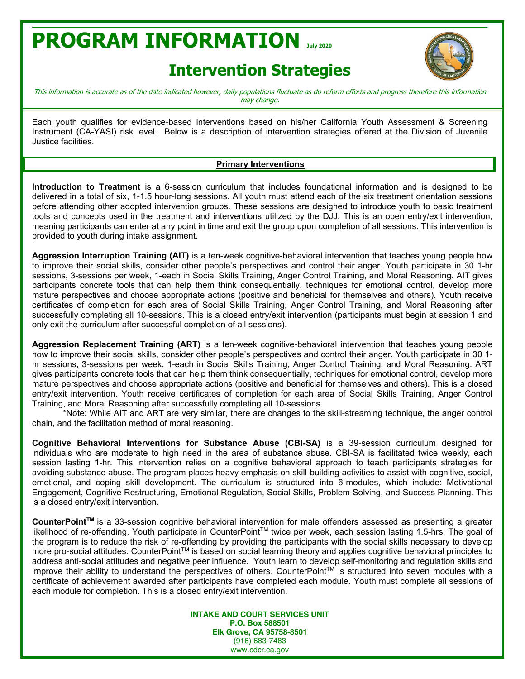# **PROGRAM INFORMATION July <sup>2020</sup>**

### **Intervention Strategies**



This information is accurate as of the date indicated however, daily populations fluctuate as do reform efforts and progress therefore this information may change.

Each youth qualifies for evidence-based interventions based on his/her California Youth Assessment & Screening Instrument (CA-YASI) risk level. Below is a description of intervention strategies offered at the Division of Juvenile Justice facilities.

#### **Primary Interventions**

**Introduction to Treatment** is a 6-session curriculum that includes foundational information and is designed to be delivered in a total of six, 1-1.5 hour-long sessions. All youth must attend each of the six treatment orientation sessions before attending other adopted intervention groups. These sessions are designed to introduce youth to basic treatment tools and concepts used in the treatment and interventions utilized by the DJJ. This is an open entry/exit intervention, meaning participants can enter at any point in time and exit the group upon completion of all sessions. This intervention is provided to youth during intake assignment.

**Aggression Interruption Training (AIT)** is a ten-week cognitive-behavioral intervention that teaches young people how to improve their social skills, consider other people's perspectives and control their anger. Youth participate in 30 1-hr sessions, 3-sessions per week, 1-each in Social Skills Training, Anger Control Training, and Moral Reasoning. AIT gives participants concrete tools that can help them think consequentially, techniques for emotional control, develop more mature perspectives and choose appropriate actions (positive and beneficial for themselves and others). Youth receive certificates of completion for each area of Social Skills Training, Anger Control Training, and Moral Reasoning after successfully completing all 10-sessions. This is a closed entry/exit intervention (participants must begin at session 1 and only exit the curriculum after successful completion of all sessions).

**Aggression Replacement Training (ART)** is a ten-week cognitive-behavioral intervention that teaches young people how to improve their social skills, consider other people's perspectives and control their anger. Youth participate in 30 1hr sessions, 3-sessions per week, 1-each in Social Skills Training, Anger Control Training, and Moral Reasoning. ART gives participants concrete tools that can help them think consequentially, techniques for emotional control, develop more mature perspectives and choose appropriate actions (positive and beneficial for themselves and others). This is a closed entry/exit intervention. Youth receive certificates of completion for each area of Social Skills Training, Anger Control Training, and Moral Reasoning after successfully completing all 10-sessions.

\*Note: While AIT and ART are very similar, there are changes to the skill-streaming technique, the anger control chain, and the facilitation method of moral reasoning.

**Cognitive Behavioral Interventions for Substance Abuse (CBI-SA)** is a 39-session curriculum designed for individuals who are moderate to high need in the area of substance abuse. CBI-SA is facilitated twice weekly, each session lasting 1-hr. This intervention relies on a cognitive behavioral approach to teach participants strategies for avoiding substance abuse. The program places heavy emphasis on skill-building activities to assist with cognitive, social, emotional, and coping skill development. The curriculum is structured into 6-modules, which include: Motivational Engagement, Cognitive Restructuring, Emotional Regulation, Social Skills, Problem Solving, and Success Planning. This is a closed entry/exit intervention.

CounterPoint™ is a 33-session cognitive behavioral intervention for male offenders assessed as presenting a greater likelihood of re-offending. Youth participate in CounterPoint™ twice per week, each session lasting 1.5-hrs. The goal of the program is to reduce the risk of re-offending by providing the participants with the social skills necessary to develop more pro-social attitudes. CounterPoint™ is based on social learning theory and applies cognitive behavioral principles to address anti-social attitudes and negative peer influence. Youth learn to develop self-monitoring and regulation skills and improve their ability to understand the perspectives of others. CounterPoint™ is structured into seven modules with a certificate of achievement awarded after participants have completed each module. Youth must complete all sessions of each module for completion. This is a closed entry/exit intervention.

> **INTAKE AND COURT SERVICES UNIT P.O. Box 588501 Elk Grove, CA 95758-8501** (916) 683-7483 www.cdcr.ca.gov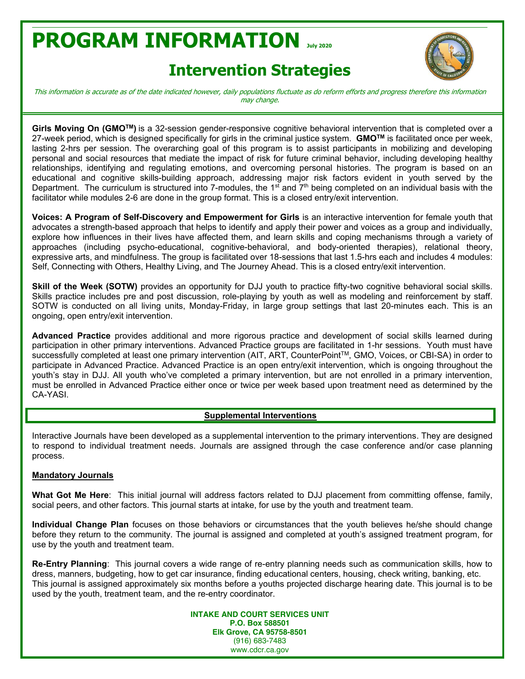# **PROGRAM INFORMATION July <sup>2020</sup>**

## **Intervention Strategies**



This information is accurate as of the date indicated however, daily populations fluctuate as do reform efforts and progress therefore this information may change.

**Girls Moving On (GMOTM)** is a 32-session gender-responsive cognitive behavioral intervention that is completed over a 27-week period, which is designed specifically for girls in the criminal justice system. **GMOTM** is facilitated once per week, lasting 2-hrs per session. The overarching goal of this program is to assist participants in mobilizing and developing personal and social resources that mediate the impact of risk for future criminal behavior, including developing healthy relationships, identifying and regulating emotions, and overcoming personal histories. The program is based on an educational and cognitive skills-building approach, addressing major risk factors evident in youth served by the Department. The curriculum is structured into 7-modules, the  $1<sup>st</sup>$  and  $7<sup>th</sup>$  being completed on an individual basis with the facilitator while modules 2-6 are done in the group format. This is a closed entry/exit intervention.

**Voices: A Program of Self-Discovery and Empowerment for Girls** is an interactive intervention for female youth that advocates a strength-based approach that helps to identify and apply their power and voices as a group and individually, explore how influences in their lives have affected them, and learn skills and coping mechanisms through a variety of approaches (including psycho-educational, cognitive-behavioral, and body-oriented therapies), relational theory, expressive arts, and mindfulness. The group is facilitated over 18-sessions that last 1.5-hrs each and includes 4 modules: Self, Connecting with Others, Healthy Living, and The Journey Ahead. This is a closed entry/exit intervention.

**Skill of the Week (SOTW)** provides an opportunity for DJJ youth to practice fifty-two cognitive behavioral social skills. Skills practice includes pre and post discussion, role-playing by youth as well as modeling and reinforcement by staff. SOTW is conducted on all living units, Monday-Friday, in large group settings that last 20-minutes each. This is an ongoing, open entry/exit intervention.

**Advanced Practice** provides additional and more rigorous practice and development of social skills learned during participation in other primary interventions. Advanced Practice groups are facilitated in 1-hr sessions. Youth must have successfully completed at least one primary intervention (AIT, ART, CounterPoint™, GMO, Voices, or CBI-SA) in order to participate in Advanced Practice. Advanced Practice is an open entry/exit intervention, which is ongoing throughout the youth's stay in DJJ. All youth who've completed a primary intervention, but are not enrolled in a primary intervention, must be enrolled in Advanced Practice either once or twice per week based upon treatment need as determined by the CA-YASI.

#### **Supplemental Interventions**

Interactive Journals have been developed as a supplemental intervention to the primary interventions. They are designed to respond to individual treatment needs. Journals are assigned through the case conference and/or case planning process.

#### **Mandatory Journals**

**What Got Me Here**: This initial journal will address factors related to DJJ placement from committing offense, family, social peers, and other factors. This journal starts at intake, for use by the youth and treatment team.

**Individual Change Plan** focuses on those behaviors or circumstances that the youth believes he/she should change before they return to the community. The journal is assigned and completed at youth's assigned treatment program, for use by the youth and treatment team.

**Re-Entry Planning**: This journal covers a wide range of re-entry planning needs such as communication skills, how to dress, manners, budgeting, how to get car insurance, finding educational centers, housing, check writing, banking, etc. This journal is assigned approximately six months before a youths projected discharge hearing date. This journal is to be used by the youth, treatment team, and the re-entry coordinator.

> **INTAKE AND COURT SERVICES UNIT P.O. Box 588501 Elk Grove, CA 95758-8501** (916) 683-7483 www.cdcr.ca.gov